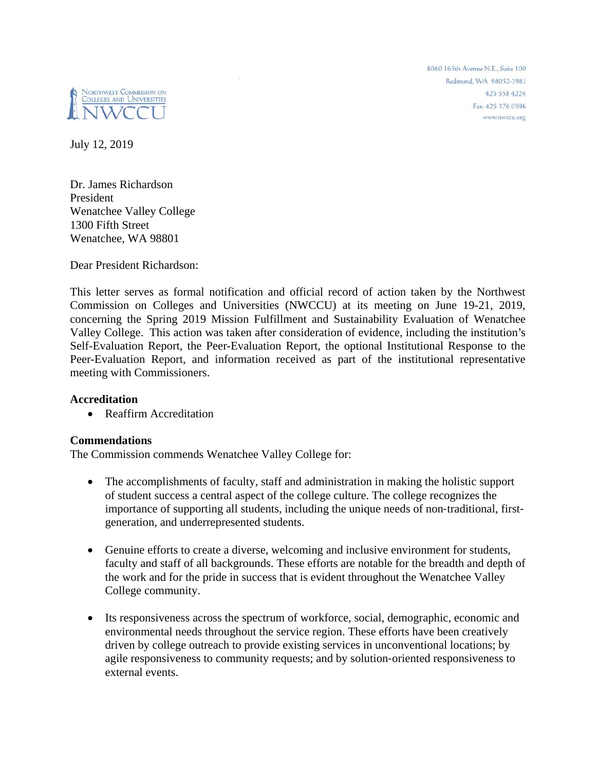8060 165th Avenue N.F. Suite 100 Redmond, WA 98052-3981 425 558 4224 Fax: 425 376 0596 www.nwccu.org



July 12, 2019

Dr. James Richardson President Wenatchee Valley College 1300 Fifth Street Wenatchee, WA 98801

Dear President Richardson:

This letter serves as formal notification and official record of action taken by the Northwest Commission on Colleges and Universities (NWCCU) at its meeting on June 19-21, 2019, concerning the Spring 2019 Mission Fulfillment and Sustainability Evaluation of Wenatchee Valley College. This action was taken after consideration of evidence, including the institution's Self-Evaluation Report, the Peer-Evaluation Report, the optional Institutional Response to the Peer-Evaluation Report, and information received as part of the institutional representative meeting with Commissioners.

# **Accreditation**

• Reaffirm Accreditation

# **Commendations**

The Commission commends Wenatchee Valley College for:

- The accomplishments of faculty, staff and administration in making the holistic support of student success a central aspect of the college culture. The college recognizes the importance of supporting all students, including the unique needs of non-traditional, firstgeneration, and underrepresented students.
- Genuine efforts to create a diverse, welcoming and inclusive environment for students, faculty and staff of all backgrounds. These efforts are notable for the breadth and depth of the work and for the pride in success that is evident throughout the Wenatchee Valley College community.
- Its responsiveness across the spectrum of workforce, social, demographic, economic and environmental needs throughout the service region. These efforts have been creatively driven by college outreach to provide existing services in unconventional locations; by agile responsiveness to community requests; and by solution‐oriented responsiveness to external events.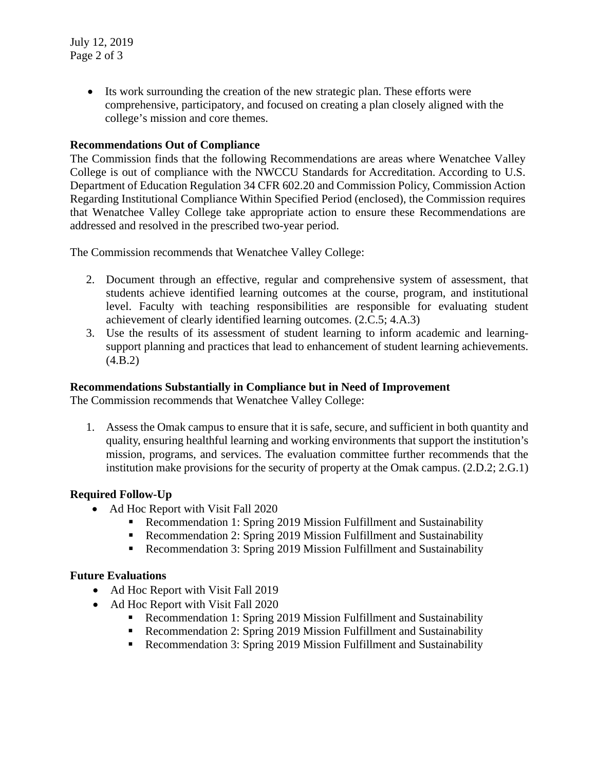Its work surrounding the creation of the new strategic plan. These efforts were comprehensive, participatory, and focused on creating a plan closely aligned with the college's mission and core themes.

# **Recommendations Out of Compliance**

The Commission finds that the following Recommendations are areas where Wenatchee Valley College is out of compliance with the NWCCU Standards for Accreditation. According to U.S. Department of Education Regulation 34 CFR 602.20 and Commission Policy, Commission Action Regarding Institutional Compliance Within Specified Period (enclosed), the Commission requires that Wenatchee Valley College take appropriate action to ensure these Recommendations are addressed and resolved in the prescribed two-year period.

The Commission recommends that Wenatchee Valley College:

- 2. Document through an effective, regular and comprehensive system of assessment, that students achieve identified learning outcomes at the course, program, and institutional level. Faculty with teaching responsibilities are responsible for evaluating student achievement of clearly identified learning outcomes. (2.C.5; 4.A.3)
- 3. Use the results of its assessment of student learning to inform academic and learningsupport planning and practices that lead to enhancement of student learning achievements.  $(4.B.2)$

### **Recommendations Substantially in Compliance but in Need of Improvement**

The Commission recommends that Wenatchee Valley College:

1. Assess the Omak campus to ensure that it is safe, secure, and sufficient in both quantity and quality, ensuring healthful learning and working environments that support the institution's mission, programs, and services. The evaluation committee further recommends that the institution make provisions for the security of property at the Omak campus. (2.D.2; 2.G.1)

# **Required Follow-Up**

- Ad Hoc Report with Visit Fall 2020
	- Recommendation 1: Spring 2019 Mission Fulfillment and Sustainability
	- Recommendation 2: Spring 2019 Mission Fulfillment and Sustainability
	- Recommendation 3: Spring 2019 Mission Fulfillment and Sustainability

# **Future Evaluations**

- Ad Hoc Report with Visit Fall 2019
- Ad Hoc Report with Visit Fall 2020
	- Recommendation 1: Spring 2019 Mission Fulfillment and Sustainability
	- Recommendation 2: Spring 2019 Mission Fulfillment and Sustainability
	- Recommendation 3: Spring 2019 Mission Fulfillment and Sustainability